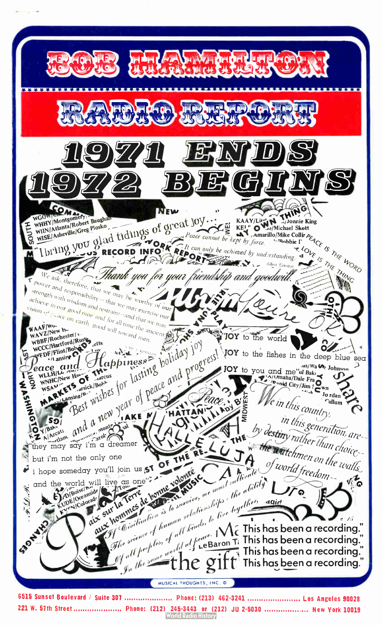

6515 Sunset Boulevard / Suite 307 .................... Phone: (213) 462-3241 ........................ Los Angeles 90028 221 W. 57th Street Phone: ( 212) 245-3443 or ( 212) JU 2-5030 New York 10019 **World Radio History**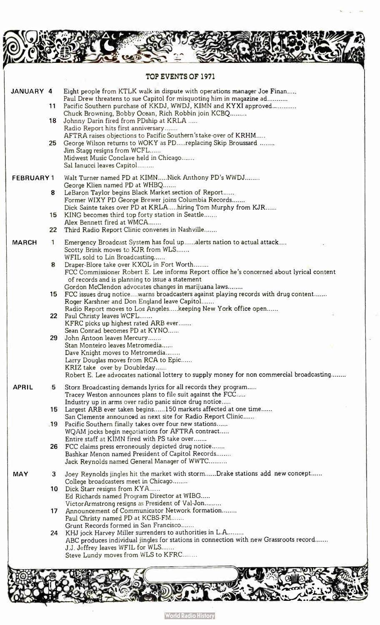|                  |                   | TOP EVENTS OF 1971                                                                                                                               |
|------------------|-------------------|--------------------------------------------------------------------------------------------------------------------------------------------------|
| JANUARY 4        |                   | Eight people from KTLK walk in dispute with operations manager Joe Finan<br>Paul Drew threatens to sue Capitol for misquoting him in magazine ad |
|                  | 11                | Pacific Southern purchase of KKDJ, WWDJ, KIMN and KYXI approved                                                                                  |
|                  | 18                | Chuck Browning, Bobby Ocean, Rich Robbin join KCBQ<br>Johnny Darin fired from PDship at KRLA                                                     |
|                  |                   | Radio Report hits first anniversary                                                                                                              |
|                  |                   | AFTRA raises objections to Pacific Southern's take-over of KRHM<br>25 George Wilson returns to WOKY as PDreplacing Skip Broussard                |
|                  |                   | Jim Stagg resigns from WCFL                                                                                                                      |
|                  |                   | Midwest Music Conclave held in Chicago<br>Sal Ianucci leaves Capitol                                                                             |
|                  |                   | Walt Turner named PD at KIMNNick Anthony PD's WWDJ                                                                                               |
| <b>FEBRUARY1</b> |                   | George Klien named PD at WHBQ                                                                                                                    |
|                  | 8                 | LeBaron Taylor begins Black Market section of Report<br>Former WIXY PD George Brewer joins Columbia Records                                      |
|                  |                   | Dick Sainte takes over PD at KRLAhiring Tom Murphy from KJR                                                                                      |
|                  |                   | 15 KING becomes third top forty station in Seattle<br>Alex Bennett fired at WMCA                                                                 |
|                  | $22 \overline{ }$ | Third Radio Report Clinic convenes in Nashville                                                                                                  |
| <b>MARCH</b>     | 1                 | Emergency Broadcast System has foul upalerts nation to actual attack                                                                             |
|                  |                   | Scotty Brink moves to KJR from WLS<br>WFIL sold to Lin Broadcasting                                                                              |
|                  | 8                 | Draper-Blore take over KXOL in Fort Worth                                                                                                        |
|                  |                   | FCC Commissioner Robert E. Lee informs Report office he's concerned about lyrical content<br>of records and is planning to issue a statement     |
|                  |                   | Gordon McClendon advocates changes in marijuana laws                                                                                             |
|                  |                   | 15 FCC issues drug noticewarns broadcasters against playing records with drug content<br>Roger Karshner and Don England leave Capitol            |
|                  |                   | Radio Report moves to Los Angeleskeeping New York office open                                                                                    |
|                  | 22                | Paul Christy leaves WCFL<br>KFRC picks up highest rated ARB ever                                                                                 |
|                  |                   | Sean Conrad becomes PD at KYNO                                                                                                                   |
|                  |                   | 29 John Antoon leaves Mercury<br>Stan Monteiro leaves Metromedia                                                                                 |
|                  |                   | Dave Knight moves to Metromedia                                                                                                                  |
|                  |                   | Larry Douglas moves from RCA to Epic<br>KRIZ take over by Doubleday                                                                              |
|                  |                   | Robert E. Lee advocates national lottery to supply money for non commercial broadcasting                                                         |
| <b>APRIL</b>     | 5                 | Storz Broadcasting demands lyrics for all records they program                                                                                   |
|                  |                   | Tracey Weston announces plans to file suit against the FCC<br>Industry up in arms over radio panic since drug notice                             |
|                  |                   | 15 Largest ARB ever taken begins150 markets affected at one time                                                                                 |
|                  |                   | San Clemente announced as next site for Radio Report Clinic<br>.19 Pacific Southern finally takes over four new stations                         |
|                  |                   | WQAM jocks begin negotiations for AFTRA contract                                                                                                 |
|                  |                   | Entire staff at KIMN fired with PS take over<br>26 FCC claims press erroneously depicted drug notice                                             |
|                  |                   | Bashkar Menon named President of Capitol Records                                                                                                 |
|                  |                   | Jack Reynolds named General Manager of WWTC                                                                                                      |
| <b>MAY</b>       | 3                 | Joey Reynolds jingles hit the market with stormDrake stations add new concept<br>College broadcasters meet in Chicago                            |
|                  | 10                | Dick Starr resigns from KYA                                                                                                                      |
|                  |                   | Ed Richards named Program Director at WIBG<br>Victor Armstrong resigns as President of Val-Jon                                                   |
|                  | 17 <sup>7</sup>   | Announcement of Communicator Network formation                                                                                                   |
|                  |                   | Paul Christy named PD at KCBS-FM<br>Grunt Records formed in San Francisco                                                                        |
|                  |                   | 24 KHJ jock Harvey Miller surrenders to authorities in L.A                                                                                       |
|                  |                   | ABC produces individual jingles for stations in connection with new Grassroots record<br>J.J. Jeffrey leaves WFIL for WLS                        |
|                  |                   | Steve Lundy moves from WLS to KFRC                                                                                                               |
|                  |                   |                                                                                                                                                  |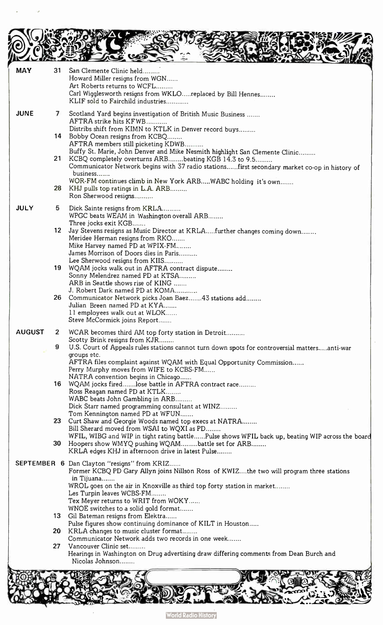| O             |                  |                                                                                                                                                                                                                                     |
|---------------|------------------|-------------------------------------------------------------------------------------------------------------------------------------------------------------------------------------------------------------------------------------|
| <b>MAY</b>    | 31               | San Clemente Clinic held<br>Howard Miller resigns from WGN                                                                                                                                                                          |
|               |                  | Art Roberts returns to WCFL<br>Carl Wigglesworth resigns from WKLOreplaced by Bill Hennes<br>KLIF sold to Fairchild industries                                                                                                      |
| <b>JUNE</b>   | $\mathbf{7}$     | Scotland Yard begins investigation of British Music Business<br>AFTRA strike hits KFWB                                                                                                                                              |
|               |                  | Distribs shift from KIMN to KTLK in Denver record buys<br>14 Bobby Ocean resigns from KCBQ<br>AFTRA members still picketing KDWB                                                                                                    |
|               | 21               | Buffy St. Marie, John Denver and Mike Nesmith highlight San Clemente Clinic<br>KCBQ completely overturns ARBbeating KGB 14.3 to 9.5<br>Communicator Network begins with 37 radio stationsfirst secondary market co-op in history of |
|               |                  | $business$<br>WOR-FM continues climb in New York ARBWABC holding it's own<br>28 KHJ pulls top ratings in L.A. ARB<br>Ron Sherwood resigns                                                                                           |
| <b>JULY</b>   | 5                | Dick Sainte resigns from KRLA<br>WPGC beats WEAM in Washington overall ARB                                                                                                                                                          |
|               | 12 <sup>12</sup> | Three jocks exit KGB<br>Jay Stevens resigns as Music Director at KRLAfurther changes coming down<br>Meridee Herman resigns from RKO                                                                                                 |
|               |                  | Mike Harvey named PD at WPIX-FM<br>James Morrison of Doors dies in Paris<br>Lee Sherwood resigns from KIIS<br>19 WQAM jocks walk out in AFTRA contract dispute                                                                      |
|               |                  | Sonny Melendrez named PD at KTSA<br>ARB in Seattle shows rise of KING<br>J. Robert Dark named PD at KOMA                                                                                                                            |
|               |                  | 26 Communicator Network picks Joan Baez43 stations add<br>Julian Breen named PD at KYA<br>11 employees walk out at WLOK<br>Steve McCormick joins Report                                                                             |
| <b>AUGUST</b> | $\mathbf{Z}$     | WCAR becomes third AM top forty station in Detroit<br>Scotty Brink resigns from KJR                                                                                                                                                 |
|               | 9                | U.S. Court of Appeals rules stations cannot turn down spots for controversial mattersanti-war<br>groups etc.<br>AFTRA files complaint against WQAM with Equal Opportunity Commission                                                |
|               |                  | Perry Murphy moves from WIFE to KCBS-FM<br>NATRA convention begins in Chicago<br>16 WQAM jocks firedlose battle in AFTRA contract race                                                                                              |
|               |                  | Ross Reagan named PD at KTLK<br>WABC beats John Gambling in ARB<br>Dick Starr named programming consultant at WINZ                                                                                                                  |
|               |                  | Tom Kennington named PD at WFUN<br>23 Curt Shaw and Georgie Woods named top execs at NATRA<br>Bill Sherard moved from WSAI to WQXI as PD                                                                                            |
|               | 30               | WFIL, WIBG and WIP in tight rating battlePulse shows WFIL back up, beating WIP across the board<br>Hoopers show WMYQ pushing WQAMbattle set for ARB<br>KRLA edges KHJ in afternoon drive in latest Pulse                            |
|               |                  | <b>SEPTEMBER 6 Dan Clayton "resigns" from KRIZ</b><br>Former KCBQ PD Gary Allyn joins Nillson Ross of KWIZthe two will program three stations<br>in Tijuana                                                                         |
|               |                  | WROL goes on the air in Knoxville as third top forty station in market<br>Les Turpin leaves WCBS-FM<br>Tex Meyer returns to WRIT from WOKY                                                                                          |
|               |                  | WNOE switches to a solid gold format<br>13 Gil Bateman resigns from Elektra<br>Pulse figures show continuing dominance of KILT in Houston                                                                                           |
|               |                  | 20 KRLA changes to music cluster format<br>Communicator Network adds two records in one week                                                                                                                                        |
|               | 27               | Vancouver Clinic set<br>Hearings in Washington on Drug advertising draw differing comments from Dean Burch and<br>Nicolas Johnson                                                                                                   |
|               |                  |                                                                                                                                                                                                                                     |
|               |                  | BOOKS - A CALCULATION - AND CALCULATION                                                                                                                                                                                             |

**World Radio History**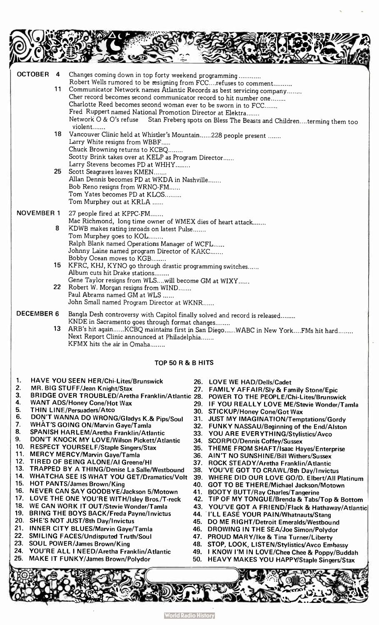

**World Radio History**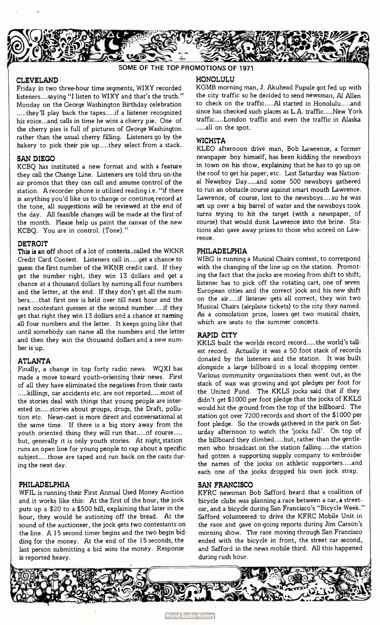# SOME OF THE TOP PROMOTIONS OF 1971

้า :

#### CLEVELAND

Friday in two three-hour time segments, WIXY recorded listeners....saying "I listen to WIXY and that's the truth." Monday on the George Washington Birthday celebration .....they'll play back the tapes.....if a listener recognized his voice...and calls in time he wins a cherry pie. One of the cherry pies is full of pictures of George Washington rather than the usual cherry filling. Listeners go by the bakery to pick their pie up .....they select from a stack.

### SAN DIEGO

KCBQ has instituted a new format and with a feature they call the Change Line. Listeners are told thru on-the air promos that they can call and assume control of the station. A recorder phone is utilized reading i.e. "if there is anything you'd like us to change or continue, record at the tone, all suggestions will be reviewed at the end of the day. All feasible changes will be made at the first of the month. Please help us paint the canvas of the new KCBQ. You are in control. (Tone)."

### DETROIT

This is an off shoot of a lot of contests..called the WKNR Credit Card Contest. Listeners call in..... get a chance to guess the first number of the WKNR credit card. If they get the number right, they win 13 dollars and get a chance at a thousand dollars by naming all four numbers and the letter, at the end. If they don't get all the numbers.....that first one is held over till next hour and the next contestant guesses at the second number.....if they get that right they win 13 dollars and a chance at naming all four numbers and the letter. It keeps going like that until somebody can name all the numbers and the letter and then they win the thousand dollars and a new number is up.

## ATLANTA

Finally, a change in top forty radio news. WQXI has made a move toward youth-orienting their news. First of all they have eliminated the negatives from their casts .....killings, car accidents etc. are not reported ..... most of the stories deal with things that young people are interested in.....stories about groups, drugs, the Draft, pollution etc. News- cast is more direct and conversational at the same time. If there is a big story away from the youth oriented thing they will run that .... of course..... but, generally it is only youth stories. At night, station runs an open line for young people to rap about a specific subject.....those are taped and run back on the casts during the next day.

## PHILADELPHIA

WFIL is running their First Annual Used Money Auction and it works like this: At the first of the hour, the jock puts up a \$20 to a \$500 bill, explaining that later in the hour, they would be autioning off the bread. At the sound of the auctioneer, the jock gets two contestants on the line. A 15 second timer begins and the two begin bidding for the money. At the end of the 15 seconds, the last person submitting a bid wins the money. Response is reported heavy.

### HONOLULU

KGMB morning man, J. Akuhead Pupule got fed up with the city traffic so he decided to send newsman, Al Allen to check on the traffic.....Al started in Honolulu.....and since has checked such places as L.A. traffic.....New York traffic.....London traffic and even the traffic in Alaska .....all on the spot.

. tree in the fee in the fee in the fee in the fee in the fee in the fee in the fee in the fee in the fee in the fee in the fee in the fee in the fee in the fee in the fee in the fee in the fee in the fee in the fee in the 11, **11, 41411** 

**Roe 17 / Action** 

### WICHITA

KLEO afternoon drive man, Bob Lawrence, a former newspaper boy himself, has been kidding the newsboys in town on his show, explaining that he has to go up on the roof to get his paper, etc. Last Saturday was National Newsboy Day .....and some 500 newsboys gathered to run an obstacle course against smart mouth Lawrence. Lawrence, of course, lost to the newsboys.....so he was set up over a big barrel of water and the newsboys took turns trying to hit the target ( with a newspaper, of course) that would dunk Lawrence into the brine. Stations also gave away prizes to those who scored on Lawrence.

#### PHILADELPHIA

WIBG is running a Musical Chairs contest, to correspond with the changing of the line up on the station. Promoting the fact that the jocks are moving from shift to shift, listener has to pick off the rotating cart, one of seven European cities and the correct jock and his new shift on the air.....if listener gets all correct, they win two Musical Chairs (airplane tickets) to the city they named. As a consolation prize, losers get two musical chairs, which are seats to the summer concerts.

#### RAPID CITY

KKLS built the worlds record record.....the world's tallest record. Actually it was a 50 foot stack of records donated by the listeners and the station. It was built alongside a large billboard in a local shopping center. Various community organizations then went out, as the stack of wax was growing and got pledges per foot for the United Fund. The KKLS jocks said that if they didn't get \$1000 per foot pledge that the jocks of KKLS would hit the ground from the top of the billboard. The station got over 7200 records and short of the \$1000 per foot pledge. So the crowds gathered in the park on Saturday afternoon to watch the 'jocks fall'. On top of the billboard they climbed ..... but, rather than the gentlemen who broadcast on the station falling.....the station had gotten a supporting supply company to embroider the names of the jocks on athletic supporters.....and each one of the jocks dropped his own jock strap.

#### SAN FRANCISCO

KFRC newsman Bob Safford heard that a coalition of bicycle clubs was planning a race between a car, a streetcar, and a bicycle during San Francisco's " Bicycle Week." Safford volunteered to drive the KFRC Mobile Unit in the race and gave on-going reports during Jim Carson's morning show. The race moving through San Francisco ended with the bicycle in front, the street car second, and Safford in the news mobile third. All this happened during rush hour.

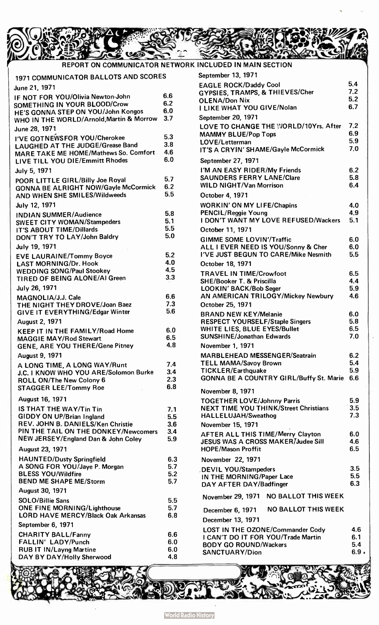

REPORT ON COMMUNICATOR NETWORK INCLUDED IN MAIN SECTION

| 1971 COMMUNICATOR BALLOTS AND SCORES                                            |            |  |  |  |  |
|---------------------------------------------------------------------------------|------------|--|--|--|--|
| June 21, 1971                                                                   |            |  |  |  |  |
| IF NOT FOR YOU/Olivia Newton-John                                               | 6.6        |  |  |  |  |
| SOMETHING IN YOUR BLOOD/Crow                                                    | 6.2<br>6.0 |  |  |  |  |
| HE'S GONNA STEP ON YOU/John Kongos<br>WHO IN THE WORLD/Arnold, Martin & Morrow  | 3.7        |  |  |  |  |
| June 28, 1971                                                                   |            |  |  |  |  |
| I'VE GOTNEWSFOR YOU/Cherokee                                                    | 5.3        |  |  |  |  |
| <b>LAUGHED AT THE JUDGE/Grease Band</b>                                         | 3.8        |  |  |  |  |
| MARE TAKE ME HOME/Mathews So. Comfort                                           | 4.6        |  |  |  |  |
| LIVE TILL YOU DIE/Emmitt Rhodes                                                 | 6.0        |  |  |  |  |
| July 5, 1971                                                                    |            |  |  |  |  |
| POOR LITTLE GIRL/Billy Joe Royal                                                | 5.7        |  |  |  |  |
| <b>GONNA BE ALRIGHT NOW/Gayle McCormick</b><br>AND WHEN SHE SMILES/Wildweeds    | 6.2<br>5.5 |  |  |  |  |
|                                                                                 |            |  |  |  |  |
| July 12, 1971                                                                   | 5.8        |  |  |  |  |
| <b>INDIAN SUMMER/Audience</b><br><b>SWEET CITY WOMAN/Stampeders</b>             | 5.1        |  |  |  |  |
| IT'S ABOUT TIME/Dillards                                                        | 5.5        |  |  |  |  |
| DON'T TRY TO LAY/John Baldry                                                    | 5.0        |  |  |  |  |
| July 19, 1971                                                                   |            |  |  |  |  |
| <b>EVE LAURAINE/Tommy Boyce</b>                                                 | 5.2        |  |  |  |  |
| <b>LAST MORNING/Dr. Hook</b>                                                    | 4.0<br>4.5 |  |  |  |  |
| <b>WEDDING SONG/Paul Stookey</b><br>TIRED OF BEING ALONE/AI Green               | 3.3        |  |  |  |  |
| July 26, 1971                                                                   |            |  |  |  |  |
| MAGNOLIA/J.J. Cale                                                              | 6.6        |  |  |  |  |
| THE NIGHT THEY DROVE/Joan Baez                                                  | 7.3        |  |  |  |  |
| GIVE IT EVERYTHING/Edgar Winter                                                 | 5.6        |  |  |  |  |
| <b>August 2, 1971</b>                                                           |            |  |  |  |  |
| KEEP IT IN THE FAMILY/Road Home                                                 | 6.0        |  |  |  |  |
| <b>MAGGIE MAY/Rod Stewart</b>                                                   | 6.5<br>4.8 |  |  |  |  |
| GENE, ARE YOU THERE/Gene Pitney                                                 |            |  |  |  |  |
| <b>August 9, 1971</b>                                                           |            |  |  |  |  |
| A LONG TIME, A LONG WAY/Runt<br>J.C. I KNOW WHO YOU ARE/Solomon Burke           | 7.4<br>3.4 |  |  |  |  |
| ROLL ON/The New Colony 6                                                        | 2.3        |  |  |  |  |
| <b>STAGGER LEE/Tommy Roe</b>                                                    | 6.8        |  |  |  |  |
| August 16, 1971                                                                 |            |  |  |  |  |
| <b>IS THAT THE WAY/Tin Tin</b>                                                  | 7.1        |  |  |  |  |
| <b>GIDDY ON UP/Brian Ingland</b>                                                | $-5.5$     |  |  |  |  |
| REV. JOHN B. DANIELS/Ken Christie                                               | 3.6        |  |  |  |  |
| PIN THE TAIL ON THE DONKEY/Newcomers<br>NEW JERSEY/England Dan & John Coley     | 3.4<br>5.9 |  |  |  |  |
| <b>August 23, 1971</b>                                                          |            |  |  |  |  |
|                                                                                 | 6.3        |  |  |  |  |
| <b>HAUNTED/Dusty Springfield</b><br>A SONG FOR YOU/Jaye P. Morgan               | 5.7        |  |  |  |  |
| <b>BLESS YOU/Wildfire</b>                                                       | 5.2        |  |  |  |  |
| <b>BEND ME SHAPE ME/Storm</b>                                                   | 5.7        |  |  |  |  |
| <b>August 30, 1971</b>                                                          |            |  |  |  |  |
| <b>SOLO/Billie Sans</b>                                                         | 5.5        |  |  |  |  |
| <b>ONE FINE MORNING/Lighthouse</b><br><b>LORD HAVE MERCY/Black Oak Arkansas</b> | 5.7<br>6.8 |  |  |  |  |
| September 6, 1971                                                               |            |  |  |  |  |
|                                                                                 | 6.6        |  |  |  |  |
| <b>CHARITY BALL/Fanny</b><br>FALLIN' LADY/Punch                                 | 6.0        |  |  |  |  |
| <b>RUB IT IN/Layng Martine</b>                                                  | 6.0        |  |  |  |  |
| DAY BY DAY/Holly Sherwood                                                       | 4.8        |  |  |  |  |

| .                |                                                 |            |
|------------------|-------------------------------------------------|------------|
|                  | September 13, 1971                              |            |
|                  | <b>EAGLE ROCK/Daddy Cool</b>                    | 5.4        |
|                  | GYPSIES, TRAMPS, & THIEVES/Cher                 | 7.2        |
| 6.6              | <b>OLENA/Don Nix</b>                            | 5.2        |
| 5.2              | I LIKE WHAT YOU GIVE/Nolan                      | 6.7        |
| 6.0              | September 20, 1971                              |            |
| 3.7              |                                                 |            |
|                  | LOVE TO CHANGE THE WORLD/10Yrs. After           | 7.2<br>6.9 |
| 5.3              | <b>MAMMY BLUE/Pop Tops</b>                      | 5.9        |
| 3.8              | LOVE/Letterman                                  | 7.0        |
| 4.6              | IT'S A CRYIN' SHAME/Gayle McCormick             |            |
| 6.0              | September 27, 1971                              |            |
|                  | I'M AN EASY RIDER/My Friends                    | 6.2        |
| 5.7              | <b>SAUNDERS FERRY LANE/Clare</b>                | 5.8        |
| 6.2              | <b>WILD NIGHT/Van Morrison</b>                  | 6.4        |
| 5.5              |                                                 |            |
|                  | October 4, 1971                                 |            |
|                  | <b>WORKIN' ON MY LIFE/Chapins</b>               | 4.0        |
| 5.8              | <b>PENCIL/Reggie Young</b>                      | 4.9        |
| 5.1              | I DON'T WANT MY LOVE REFUSED/Wackers            | 5.1        |
| 5.5              | October 11, 1971                                |            |
| 5.0              | <b>GIMME SOME LOVIN'/Traffic</b>                | 6.0        |
|                  | ALL I EVER NEED IS YOU/Sonny & Cher             | 6.0        |
| 5.2              | I'VE JUST BEGUN TO CARE/Mike Nesmith            | 5.5        |
| 4.0              |                                                 |            |
| 4.5              | October 18, 1971                                |            |
| 3.3              | <b>TRAVEL IN TIME/Crowfoot</b>                  | 6.5        |
|                  | <b>SHE/Booker T. &amp; Priscilla</b>            | 4.4        |
|                  | LOOKIN' BACK/Bob Seger                          | 5.9        |
| 6.6              | AN AMERICAN TRILOGY/Mickey Newbury              | 4.6        |
| 7.3              | October 25, 1971                                |            |
| 5.6              | <b>BRAND NEW KEY/Melanie</b>                    | 6.0        |
|                  | <b>RESPECT YOURSELF/Staple Singers</b>          | 5.8        |
| 6.0              | WHITE LIES, BLUE EYES/Bullet                    | 6.5        |
| 6.5              | <b>SUNSHINE/Jonathan Edwards</b>                | 7.0        |
| 4.8              | November 1, 1971                                |            |
|                  | <b>MARBLEHEAD MESSENGER/Seatrain</b>            | 6.2        |
|                  | <b>TELL MAMA/Savoy Brown</b>                    | 5.4        |
| 7.4              | <b>TICKLER/Earthquake</b>                       | 5.9        |
| 3.4              | GONNA BE A COUNTRY GIRL/Buffy St. Marie         | 6.6        |
| 2.3              |                                                 |            |
| 6.8              | November 8, 1971                                |            |
|                  | <b>TOGETHER LOVE/Johnny Parris</b>              | 5.9        |
| 7.1              | <b>NEXT TIME YOU THINK/Street Christians</b>    | 3.5        |
| 5.5              | HALLELUJAH/Sweathog                             | 7.3        |
| 3.6              | November 15, 1971                               |            |
| 3,4              |                                                 |            |
| 5.9              | <b>AFTER ALL THIS TIME/Merry Clayton</b>        | 6.0        |
|                  | <b>JESUS WAS A CROSS MAKER/Judee Sill</b>       | 4.6        |
|                  | <b>HOPE/Mason Proffit</b>                       | 6.5        |
| 6.3              | November 22, 1971                               |            |
| 5.7              | DEVIL YOU/Stampeders                            | 3.5        |
| 5.2              | IN THE MORNING/Paper Lace                       | 5.5        |
| 5.7              | DAY AFTER DAY/Badfinger                         | 6.3        |
|                  |                                                 |            |
| 5.5              | <b>NO BALLOT THIS WEEK</b><br>November 29, 1971 |            |
| 5.7              | <b>NO BALLOT THIS WEEK</b>                      |            |
| 6.8              | December 6, 1971                                |            |
|                  | December 13, 1971                               |            |
|                  | <b>LOST IN THE OZONE/Commander Cody</b>         | 4.6        |
| 6.6              | I CAN'T DO IT FOR YOU/Trade Martin              | 6.1        |
| 6.0              | <b>BODY GO ROUND/Wackers</b>                    | 5.4        |
| 6.0<br>$\bullet$ | SANCTUARY/Dion                                  | 6.9.       |

 $\Omega$ 

۰Q,

安全

**RANGE AND**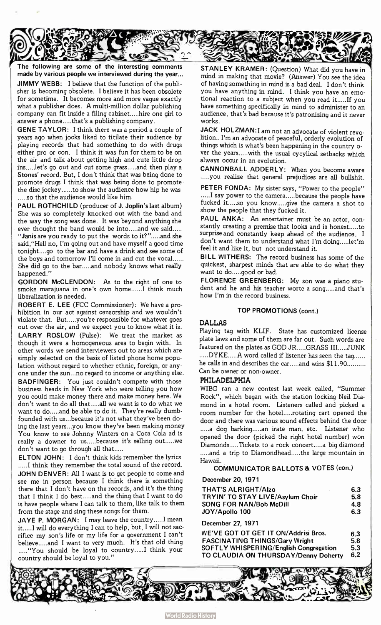The following are some of the interesting comments made by various people we interviewed during the year...

ea<sup>r</sup>

JIMMY WEBB: I believe that the function of the publisher is becoming obsolete. I believe it has been obsolete for sometime. It becomes more and more vague exactly what a publisher does. A multi-million dollar publishing company can fit inside a filing cabinet .... hire one girl to answer a phone .... that's a publishing company.

GENE TAYLOR: I think there was a period a couple of years ago when jocks liked to titilate their audience by playing records that had something to do with drugs either pro or con. I think it was fun for them to be on the air and talk about getting high and cute little drop ins.....let's go out and cut some grass.....and then play a Stones' record. But, I don't think that was being done to promote drugs I think that was being done to promote the disc jockey......to show the audience how hip he was ....so that the audience would like him.

PAUL ROTHCHILD (producer of J. Joplin's last album) She was so completely knocked out with the band and the way the song was done. It was beyond anything she ever thought the band would be into .... and we said..... "Janis are you ready to put the words to it?".....and she said,"Hell no, I'm going out and have myself a good time tonight.... go to the bar and have a drink and see some of the boys and tomorrow I'll come in and cut the vocal...... She did go to the bar.....and nobody knows what really happened."

GORDON McCLENDON: As to the right of one to smoke marajuana in one's own home......I think much liberalization is needed.

ROBERT E. LEE (FCC Commissioner): We have a prohibition in our act against censorship and we wouldn't violate that. But.....you're responsible for whatever goes out over the air, and we expect you to know what it is. LARRY ROSLOW (Pulse): We treat the market as though it were a homogeneous area to begin with. In other words we send interviewers out to areas which are simply selected on the basis of listed phone home population without regard to whether ethnic, foreign, or anyone under the sun...no regard to income or anything else.

BADFINGER: You just couldn't compete with those business heads in New York who were telling you how you could make money there and make money here. We don't want to do all that.....all we want is to do what we want to do.....and be able to do it. They're really dumbfounded with us...because it's not what they've been doing the last years...you know they've been making money You know to see Johnny Winters on a Coca Cola ad is really a downer to us.....because it's selling out.....we don't want to go through all that

ELTON JOHN: I don't think kids remember the lyrics .....I think they remember the total sound of the record. JOHN DENVER: All I want is to get people to come and see me in person because I think there is something there that I don't have on the records, and it's the thing that I think I do best.....and the thing that I want to do is have people where I can talk to them, like talk to them from the stage and sing these songs for them.

JAYE P. MORGAN: I may leave the country.....I mean it.....I will do everything I can to help, but, I will not sacrifice my son's life or my life for a government I can't believe.....and I want to very much. It's that old thing ....."You should be loyal to country.....I think your country should be loyal to you."

STANLEY KRAMER: (Question) What did you have in mind in making that movie? ( Answer) You see the idea of having something in mind is a bad deal. I don't think you have anything in mind. I think you have an emotional reaction to a subject when you read it.....If you have something specifically in mind to administer to an audience, that's bad because it's patronizing and it never works.

re, elk light

dr

JACK HOLZMAN: I am not an advocate of violent revolition.. I'm an advocate of peaceful, orderly evolution of things which is what's been happening in the country over the years.....with the usual cycylical setbacks which always occur in an evolution.

CANNONBALL ADDERLY: When you become aware .....you realize that general prejudices are all bullshit.

PETER FONDA: My sister says, "Power to the people" .....I say power to the camera.....because the people have fucked it.....so you know ..... give the camera a shot to show the people that they fucked it.

PAUL ANKA: An entertainer must be an actor, constantly creating a premise that looks and is honest.....to surprise and constantly keep ahead of the audience. I don't want them to understand what I'm doing.....let'm feel it and like it, but not understand it.

BILL WITHERS: The record business has some of the quickest, sharpest minds that are able to do what they want to do.....good or bad.

FLORENCE GREENBERG: My son was a piano student and he and his teacher worte a song.....and that's how I'm in the record business.

#### TOP PROMOTIONS (cont.)

#### DALLAS

Playing tag with KLIF. State has customized license plate laws and some of them are far out. Such words are featured on the plates as GOD JR.....GRASS III.....JUNK .....DYKE.....A word called if listener has seen the tag...... he calls in and describes the car ..... and wins \$11.90.......... Can be owner or non-owner.

## PHILADELPHIA

WIBG ran a new contest last week called, "Summer Rock", which began with the station locking Neil Diamond in a hotel room. Listeners called and picked a room number for the hotel.....rotating cart opened the door and there was various sound effects behind the door .....a dog barking .....an irate man, etc. Listener who opened the door ( picked the right hotel number) won Diamonds..... Tickets to a rock concert.....a big diamond .....and a trip to Diamondhead .....the large mountain in Hawaii.

COMMUNICATOR BALLOTS & VOTES (con.)

#### December 20, 1971

| <b>THAT'S ALRIGHT/Alzo</b>           | 6.3 |
|--------------------------------------|-----|
| TRYIN' TO STAY LIVE/Asylum Choir     | 5.8 |
| <b>SONG FOR NAN/Bob McDill</b>       | 4.8 |
| JOY/Apollo 100                       | 6.3 |
| December 27, 1971                    |     |
| WE'VE GOT OT GET IT ON/Addrisi Bros. | F 3 |

WE'VE GOT OT GET IT ON/Addrisi Bros. FASCINATING THINGS/Gary Wright SOFTLY WHISPERING/English Congregation TO CLAUDIA ON THURSDAY/Denny Doherty 0.J 5.8 5.3 6.2

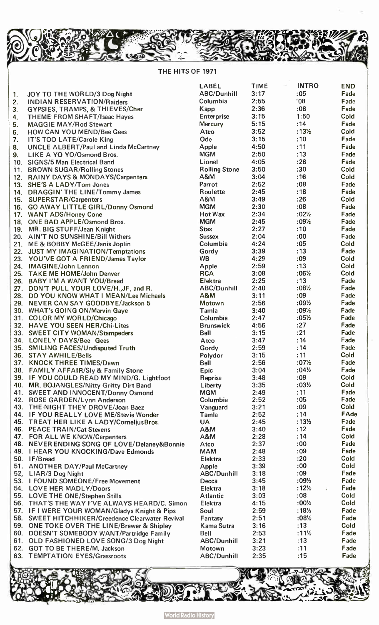

THE HITS OF 1971

|            |                                                                  | <b>LABEL</b>         | <b>TIME</b>  | <b>INTRO</b>                | <b>END</b>   |
|------------|------------------------------------------------------------------|----------------------|--------------|-----------------------------|--------------|
| 1.         | JOY TO THE WORLD/3 Dog Night                                     | <b>ABC/Dunhill</b>   | 3:17         | :05                         | Fade         |
| 2.         | <b>INDIAN RESERVATION/Raiders</b>                                | Columbia             | 2:55         | '08                         | Fade         |
| 3.         | GYPSIES, TRAMPS, & THIEVES/Cher                                  | Kapp                 | 2:36         | :08                         | Fade         |
| 4.         | <b>THEME FROM SHAFT/Isaac Hayes</b>                              | <b>Enterprise</b>    | 3:15         | 1:50                        | Cold         |
| 5.         | <b>MAGGIE MAY/Rod Stewart</b>                                    | <b>Mercury</b>       | 5:15         | :14                         | Fade         |
| 6.         | <b>HOW CAN YOU MEND/Bee Gees</b>                                 | Atco                 | 3:52         | $:13\frac{1}{2}$            | Cold         |
| 7.         | IT'S TOO LATE/Carole King                                        | Ode                  | 3:15         | :10                         | Fade         |
| 8.         | <b>UNCLE ALBERT/Paul and Linda McCartney</b>                     | Apple                | 4:50         | :11                         | Fade         |
| 9.         | LIKE A YO YO/Osmond Bros.                                        | <b>MGM</b>           | 2:50         | :13                         | Fade         |
|            | 10. SIGNS/5 Man Electrical Band                                  | Lionel               | 4:05         | : 28                        | Fade         |
| 11.        | <b>BROWN SUGAR/Rolling Stones</b>                                | <b>Rolling Stone</b> | 3:50         | :30                         | Cold         |
|            | 12. RAINY DAYS & MONDAYS/Carpenters                              | A&M<br>Parrot        | 3:04<br>2:52 | :16<br>:08                  | Cold<br>Fade |
|            | 13. SHE'S A LADY/Tom Jones<br>14. DRAGGIN' THE LINE/Tommy James  | <b>Roulette</b>      | 2:45         | :18                         | Fade         |
| 15.        | <b>SUPERSTAR/Carpenters</b>                                      | A&M                  | 3:49         | :26                         | Cold         |
|            | 16. GO AWAY LITTLE GIRL/Donny Osmond                             | <b>MGM</b>           | 2:30         | :08                         | Fade         |
|            | 17. WANT ADS/Honey Cone                                          | Hot Wax              | 2:34         | $:02\frac{1}{2}$            | Fade         |
|            | 18. ONE BAD APPLE/Osmond Bros.                                   | <b>MGM</b>           | 2:45         | $:09\frac{1}{2}$            | Fade         |
| 19.        | MR. BIG STUFF/Jean Knight                                        | <b>Stax</b>          | 2:27         | :10                         | Fade         |
|            | 20. AIN'T NO SUNSHINE/Bill Withers                               | <b>Sussex</b>        | 2:04         | :00                         | Fade         |
|            | 21. ME & BOBBY McGEE/Janis Joplin                                | Columbia             | 4:24         | :05                         | Cold         |
|            | 22. JUST MY IMAGINATION/Temptations                              | Gordy                | 3:39         | :13                         | Fade         |
|            | 23. YOU'VE GOT A FRIEND/James Taylor                             | <b>WB</b>            | 4:29         | :09                         | Cold         |
|            | 24. IMAGINE/John Lennon                                          | Apple                | 2:59         | :13                         | Cold         |
|            | 25. TAKE ME HOME/John Denver                                     | <b>RCA</b>           | 3:08         | $:06\frac{1}{2}$            | Cold         |
|            | 26. BABY I'M A WANT YOU/Bread                                    | <b>Elektra</b>       | 2:25         | :13                         | Fade         |
|            | 27. DON'T PULL YOUR LOVE/H., JF, and R.                          | <b>ABC/Dunhill</b>   | 2:40         | $:08\frac{1}{2}$            | Fade         |
|            | 28. DO YOU KNOW WHAT I MEAN/Lee Michaels                         | A&M                  | 3:11         | :09                         | Fade         |
| 29.        | NEVER CAN SAY GOODBYE/Jackson 5                                  | <b>Motown</b>        | 2:56         | $:09\frac{1}{2}$<br>$:09\%$ | Fade<br>Fade |
| 31.        | 30. WHAT's GOING ON/Marvin Gaye<br><b>COLOR MY WORLD/Chicago</b> | Tamla<br>Columbia    | 3:40<br>2:47 | $:05\frac{1}{2}$            | Fade         |
|            | 32. HAVE YOU SEEN HER/Chi-Lites                                  | <b>Brunswick</b>     | 4:56         | :27                         | Fade         |
| 33.        | <b>SWEET CITY WOMAN/Stampeders</b>                               | <b>Bell</b>          | 3:15         | : 21                        | Fade         |
|            | 34. LONELY DAYS/Bee Gees                                         | Atco                 | 3:47         | : 14                        | Fade         |
|            | 35. SMILING FACES/Undisputed Truth                               | Gordy                | 2:59         | :14                         | Fade         |
|            | 36. STAY AWHILE/Bells                                            | Polydor              | 3:15         | : 11                        | Cold         |
| 37.        | <b>KNOCK THREE TIMES/Dawn</b>                                    | <b>Bell</b>          | 2:56         | $:07\frac{1}{2}$            | Fade         |
|            | 38. FAMILY AFFAIR/Sly & Family Stone                             | <b>Epic</b>          | 3:04         | $:04\frac{1}{2}$            | Fade         |
|            | 39. IF YOU COULD READ MY MIND/G. Lightfoot                       | Reprise              | 3:48         | :09                         | Cold         |
| 40.        | MR. BOJANGLES/Nitty Gritty Dirt Band                             | Liberty              | 3:35         | $:03\frac{1}{2}$            | Cold         |
| 41.        | <b>SWEET AND INNOCENT/Donny Osmond</b>                           | <b>MGM</b>           | 2:49         | : 11                        | Fade         |
|            | 42. ROSE GARDEN/Lynn Anderson                                    | Columbia             | 2:52         | :05                         | Fade         |
|            | 43. THE NIGHT THEY DROVE/Joan Baez                               | Vanguard             | 3:21         | :09                         | Cold         |
|            | 44. IF YOU REALLY LOVE ME/Stevie Wonder                          | Tamla                | 2:52         | :14                         | FAde         |
| 45.        | <b>TREAT HER LIKE A LADY/CorneliusBros.</b>                      | <b>UA</b>            | 2:45         | $:13\frac{1}{2}$<br>:12     | Fade<br>Fade |
| 46.<br>47. | <b>PEACE TRAIN/Cat Stevens</b><br>FOR ALL WE KNOW/Carpenters     | A&M<br>A&M           | 3:40<br>2:28 | :14                         | Cold         |
| 48.        | NEVER ENDING SONG OF LOVE/Delaney&Bonnie                         | Atco                 | 2:37         | :00                         | Fade         |
| 49.        | <b>I HEAR YOU KNOCKING/Dave Edmonds</b>                          | <b>MAM</b>           | 2:48         | :09                         | Fade         |
|            | 50. IF/Bread                                                     | <b>Elektra</b>       | 2:33         | : 20                        | Cold         |
| 51.        | <b>ANOTHER DAY/Paul McCartney</b>                                | Apple                | 3:39         | :00                         | Cold         |
|            | 52, LIAR/3 Dog Night                                             | <b>ABC/Dunhill</b>   | 3:18         | :09                         | Fade         |
|            | 53. I FOUND SOMEONE/Free Movement                                | <b>Decca</b>         | 3:45         | $:09\frac{1}{2}$            | Fade         |
| 54.        | <b>LOVE HER MADLY/Doors</b>                                      | <b>Elektra</b>       | 3:18         | $:12\frac{1}{2}$            | Fade         |
| 55.        | <b>LOVE THE ONE/Stephen Stills</b>                               | <b>Atlantic</b>      | 3:03         | :08                         | Cold         |
| 56.        | THAT'S THE WAY I'VE ALWAYS HEARD/C. Simon                        | <b>Elektra</b>       | 4:15         | $:00\frac{1}{2}$            | Cold         |
|            | 57. IF I WERE YOUR WOMAN/Gladys Knight & Pips                    | Soul                 | 2:59         | :18 $\frac{1}{2}$           | Fade         |
| 58.        | <b>SWEET HITCHHIKER/Creedence Clearwater Revival</b>             | Fantasy              | 2:51         | $:08\frac{1}{2}$            | Fade         |
| 59.        | <b>ONE TOKE OVER THE LINE/Brewer &amp; Shipley</b>               | <b>Kama Sutra</b>    | 3:16         | :13                         | Cold         |
| 60.        | DOESN'T SOMEBODY WANT/Partridge Family                           | <b>Bell</b>          | 2:53         | $:11\frac{1}{2}$            | Fade         |
| 61.        | <b>OLD FASHIONED LOVE SONG/3 Dog Night</b>                       | <b>ABC/Dunhill</b>   | 3:21         | :13                         | Fade         |
| 62.        | <b>GOT TO BE THERE/M. Jackson</b>                                | Motown               | 3:23         | :11                         | Fade         |
|            | 63. TEMPTATION EYES/Grassroots                                   | <b>ABC/Dunhill</b>   | 2:35         | :15                         | Fade         |
|            |                                                                  |                      |              |                             |              |
|            |                                                                  |                      |              |                             |              |
|            |                                                                  |                      |              |                             |              |
|            |                                                                  |                      |              |                             |              |
|            |                                                                  |                      |              |                             |              |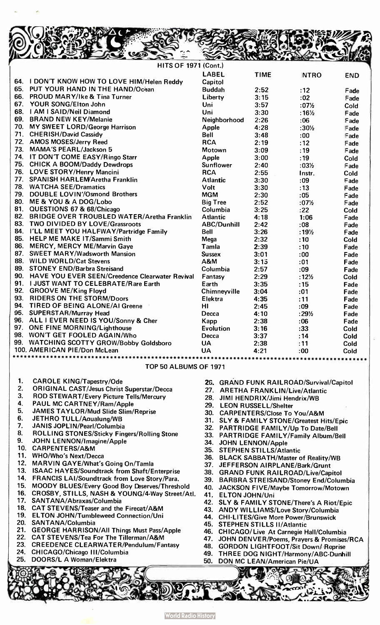| O REPAIR SECTION RAILWAY |  |  |  |  |
|--------------------------|--|--|--|--|
|                          |  |  |  |  |

|                       |                                                     | <b>LABEL</b>       | <b>TIME</b>                                                                   | <b>NTRO</b>      | <b>END</b> |  |
|-----------------------|-----------------------------------------------------|--------------------|-------------------------------------------------------------------------------|------------------|------------|--|
|                       | 64. I DON'T KNOW HOW TO LOVE HIM/Helen Reddy        | Capitol            |                                                                               |                  |            |  |
|                       | 65. PUT YOUR HAND IN THE HAND/Ocean                 | <b>Buddah</b>      | 2:52                                                                          | :12              | Fade       |  |
|                       | 66. PROUD MARY/Ike & Tina Turner                    | Liberty            | 3:15                                                                          | :02              | Fade       |  |
|                       | 67. YOUR SONG/Elton John                            | Uni                | 3:57                                                                          | $:07\frac{1}{2}$ | Cold       |  |
|                       | 68. I AM I SAID/Neil Diamond                        | Uni                | 3:30                                                                          | $:16\frac{1}{2}$ | Fade       |  |
|                       | 69. BRAND NEW KEY/Melanie                           | Neighborhood       | 2:26                                                                          | :06              | Fade       |  |
|                       | 70. MY SWEET LORD/George Harrison                   | <b>Apple</b>       | 4:28                                                                          | :30½             | Fade       |  |
|                       | 71. CHERISH/David Cassidy                           | <b>Bell</b>        | 3:48                                                                          | :00              | Fade       |  |
|                       | 72. AMOS MOSES/Jerry Reed                           | <b>RCA</b>         | 2:19                                                                          | :12              | Fade       |  |
| 73.                   | <b>MAMA'S PEARL/Jackson 5</b>                       | <b>Motown</b>      | 3:09                                                                          | : 19             | Fade       |  |
|                       | 74. IT DON'T COME EASY/Ringo Starr                  | Apple              | 3:00                                                                          | :19              | Cold       |  |
|                       | 75. CHICK A BOOM/Daddy Dewdrops                     | <b>Sunflower</b>   | 2:40                                                                          | $:03\frac{1}{2}$ | Fade       |  |
|                       | 76. LOVE STORY/Henry Mancini                        | <b>RCA</b>         | 2:55                                                                          | Instr.           | Cold       |  |
|                       | 77. SPANISH HARLEMAretha Franklin                   | <b>Atlantic</b>    | 3:30                                                                          | :09              | Fade       |  |
|                       | 78. WATCHA SEE/Dramatics                            | Volt               | 3:30                                                                          | : 13             | Fade       |  |
|                       | 79. DOUBLE LOVIN'/Osmond Brothers                   | <b>MGM</b>         | 2:30                                                                          | :05              | Fade       |  |
|                       | 80. ME & YOU & A DOG/Lobo                           | <b>Big Tree</b>    | 2:52                                                                          | :07%             | Fade       |  |
|                       | 81. QUESTIONS 67 & 68/Chicago                       | Columbia           | 3:25                                                                          | :22              | Cold       |  |
| 82.                   | <b>BRIDGE OVER TROUBLED WATER/Aretha Franklin</b>   | <b>Atlantic</b>    | 4:18                                                                          | 1:06             | Fade       |  |
|                       | 83. TWO DIVIDED BY LOVE/Grassroots                  | <b>ABC/Dunhill</b> | 2:42                                                                          | :08              | Fade       |  |
|                       | 84. I'LL MEET YOU HALFWAY/Partridge Family          | <b>Bell</b>        | 3:26                                                                          | $:19\frac{1}{2}$ | Fade       |  |
|                       | 85. HELP ME MAKE IT/Sammi Smith                     | Mega               | 2:32                                                                          | :10              | Cold       |  |
|                       | 86. MERCY, MERCY ME/Marvin Gaye                     | Tamla              | 2:39                                                                          | :10              | Fade       |  |
|                       | 87. SWEET MARY/Wadsworth Mansion                    | <b>Sussex</b>      | 3:01                                                                          | :00              | Fade       |  |
|                       | 88. WILD WORLD/Cat Stevens                          | A&M                | 3:15                                                                          | :01              | Fade       |  |
|                       | 89. STONEY END/Barbra Streisand                     | Columbia           | 2:57                                                                          | :09              | Fade       |  |
|                       | 90. HAVE YOU EVER SEEN/Creedence Clearwater Revival | Fantasy            | 2:29                                                                          | $:12\frac{1}{2}$ | Cold       |  |
|                       | 91. I JUST WANT TO CELEBRATE/Rare Earth             | Earth              | 3:35                                                                          | :15              | Fade       |  |
|                       | 92. GROOVE ME/King Floyd                            | Chimneyville       | 3:04                                                                          | :01              | Fade       |  |
|                       | 93. RIDERS ON THE STORM/Doors                       | <b>Elektra</b>     | 4:35                                                                          | : 11             | Fade       |  |
|                       | 94. TIRED OF BEING ALONE/AI Greene                  | HI                 | 2:45                                                                          | :09              | Fade       |  |
|                       | 95. SUPERSTAR/Murray Head                           | Decca              | 4:10                                                                          | :29½             | Fade       |  |
|                       | 96. ALL I EVER NEED IS YOU/Sonny & Cher             | Kapp               | 2:38                                                                          | :06              | Fade       |  |
|                       | 97. ONE FINE MORNING/Lighthouse                     | <b>Evolution</b>   | 3:16                                                                          | :33              | Cold       |  |
|                       | 98. WON'T GET FOOLED AGAIN/Who                      | Decca              | 3:37                                                                          | : 14             | Cold       |  |
|                       | 99. WATCHING SCOTTY GROW/Bobby Goldsboro            | UA                 | 2:38                                                                          | : 11             | Cold       |  |
|                       | 100. AMERICAN PIE/Don McLean                        | <b>UA</b>          | 4:21                                                                          | :00              | Cold       |  |
|                       |                                                     |                    |                                                                               |                  |            |  |
| TOP 50 ALBUMS OF 1971 |                                                     |                    |                                                                               |                  |            |  |
| 1.                    | <b>CAROLE KING/Tapestry/Ode</b>                     |                    |                                                                               |                  |            |  |
| 2.                    | <b>ORIGINAL CAST/Jesus Christ Superstar/Decca</b>   |                    | 26. GRAND FUNK RAILROAD/Survival/Capitol<br>27. ARETHA FRANKLIN/Live/Atlantic |                  |            |  |
| 3.                    | <b>ROD STEWART/Every Picture Tells/Mercury</b>      | 28.                | JIMI HENDRIX/Jimi Hendrix/WB                                                  |                  |            |  |
| 4.                    | <b>PAUL MC CARTNEY/Ram/Apple</b>                    |                    | 20 <b>I EAN DHCCELL</b> (Chaltar                                              |                  |            |  |

- 4. PAUL MC CARTNEY/Ram/Apple
- 5. JAMES TAYLOR/Mud Slide Slim/Reprise
- 6. JETHRO TULL/Aaualung/WB
- 7. JANIS JOPLIN/Pearl/Columbia
- 8. ROLLING STONES/Sticky Fingers/Rolling Stone
- 9. JOHN LENNON/Imagine/Apple
- 10. CARPENTERS/A&M
- 11. WHO/Who's Next/Decca
- 12. MARVIN GAYE/What's Going On/Tamla
- 13. ISAAC HAYES/Soundtrack from Shaft/Enterprise
- 14. FRANCIS LAI/Soundtrack from Love Story/Para.
- 15. MOODY BLUES/Every Good Boy Ceserves/Threshold
- 16. CROSBY, STILLS, NASH & YOUNG/4-Way Street/Atl.
- 17. SANTANA/Abraxas/Columbia
- 18. CAT STEVENS/Teaser and the Firecat/A&M
- 19. ELTON JOHN/Tumbleweed Connection/Uni
- 20. SANTANA/Columbia
- 21. GEORGE HARRISON/All Things Must Pass/Apple
- 22. CAT STEVENS/Tea For The Tillerman/A&M
- 23. CREEDENCE CLEARWATER/Pendulum/Fantasy
- 24. CHICAGO/Chicago III/Columbia
- 25. DOORS/L A Woman/Elektra
- 2N RUSSELL/Shelter
- 30. CARPENTERS/Close To You/A&M
- 31. SLY & FAMILY STONE/Greatest Hits/Epic
- 32. PARTRIDGE FAMILY/Up To Date/Bell
- 33. PARTRIDGE FAMILY/Family Album/Bell
- 34. JOHN LENNON/Apple
- 35. STEPHEN STILLS/Atlantic
- 36. BLACK SABBATH/Master of Reality/WB
- 37. JEFFERSON AIRPLANE/Bark/Grunt
- 38. GRAND FUNK RAILROAD/Live/Capitol
- 39. BARBRA STREISAND/Stoney End/Columbia
- 40. JACKSON FIVE/Maybe Tomorrow/Motown
- 41, ELTON JOHN/Uni
- 42. SLY & FAMILY STONE/There's A Riot/Epic 43. ANDY WILLIAMS/Love Story/Columbia
- 43. ANDY WILLIAMS/Love Story/Columbia
- 44. CHI-LITES/Give More Power/Brunswick
- 45. STEPHEN STILLS II/Atlantic
- 46. CHICAGO/Live At Carnegie Hall/Columbia<br>47. JOHN DENVER/Poems. Prayers & Promises.
- 47. JOHN DENVER/Poems, Prayers & Promises/RCA

 $\Omega$ 

- 48. GORDON LIGHTFOOT/Sit Down/ Reprise
- 49. THREE DOG NIGHT/Harmony/ABC-Dunhill
- 50. DON MC LEAN/American Pie/UA **10**